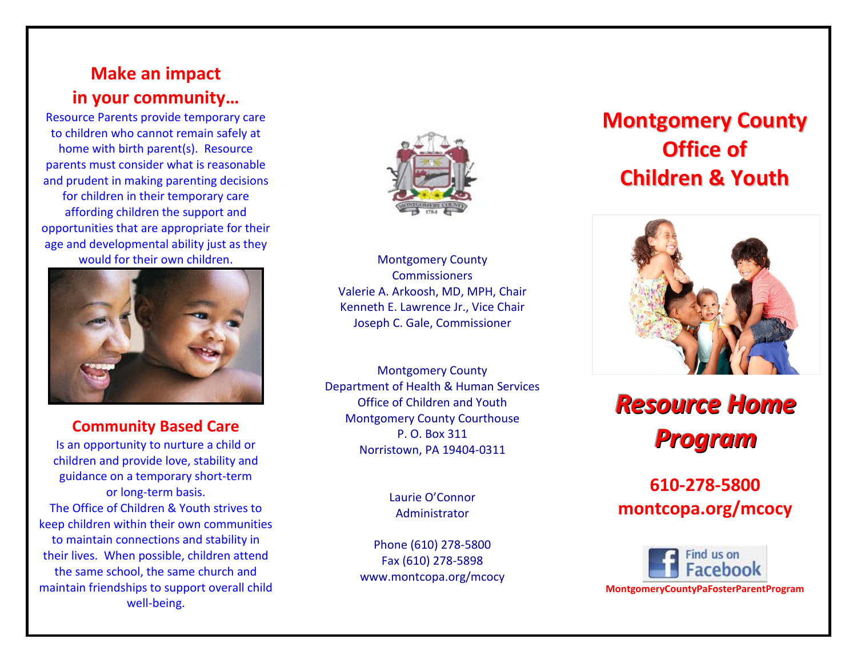### **Make an impact in your community…**

Resource Parents provide temporary care to children who cannot remain safely at home with birth parent(s). Resource parents must consider what is reasonable and prudent in making parenting decisions for children in their temporary care affording children the support and opportunities that are appropriate for their age and developmental ability just as they would for their own children.



#### **Community Based Care**

Is an opportunity to nurture a child or children and provide love, stability and guidance on a temporary short-term or long-term basis. The Office of Children & Youth strives to keep children within their own communities to maintain connections and stability in their lives. When possible, children attend the same school, the same church and maintain friendships to support overall child well-being.



Montgomery County **Commissioners** Valerie A. Arkoosh, MD, MPH, Chair Kenneth E. Lawrence Jr., Vice Chair Joseph C. Gale, Commissioner

Montgomery County Department of Health & Human Services Office of Children and Youth Montgomery County Courthouse P. O. Box 311 Norristown, PA 19404-0311

> Laurie O'Connor Administrator

Phone (610) 278-5800 Fax (610) 278-5898 www.montcopa.org/mcocy

# **Montgomery County Office of Children & Youth**



# **Resource Home Program**

### **610-278-5800 montcopa.org/mcocy**